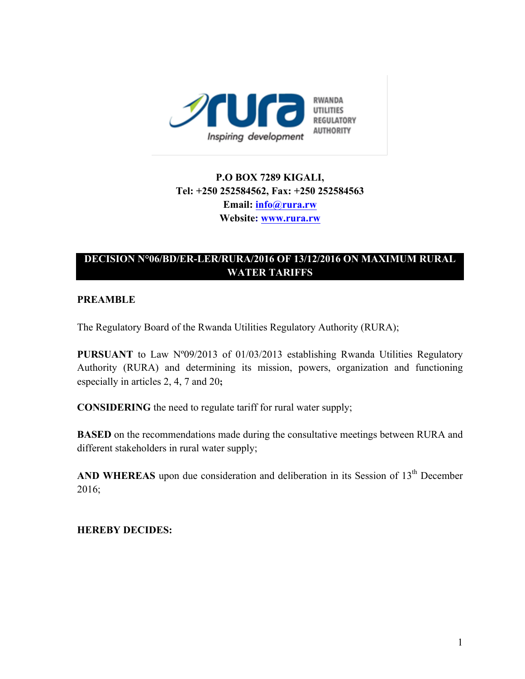

# **P.O BOX 7289 KIGALI, Tel: +250 252584562, Fax: +250 252584563 Email: info@rura.rw Website: www.rura.rw**

## **DECISION N°06/BD/ER-LER/RURA/2016 OF 13/12/2016 ON MAXIMUM RURAL WATER TARIFFS**

## **PREAMBLE**

The Regulatory Board of the Rwanda Utilities Regulatory Authority (RURA);

**PURSUANT** to Law N°09/2013 of 01/03/2013 establishing Rwanda Utilities Regulatory Authority (RURA) and determining its mission, powers, organization and functioning especially in articles 2, 4, 7 and 20**;**

**CONSIDERING** the need to regulate tariff for rural water supply;

**BASED** on the recommendations made during the consultative meetings between RURA and different stakeholders in rural water supply;

AND WHEREAS upon due consideration and deliberation in its Session of 13<sup>th</sup> December 2016;

 **HEREBY DECIDES:**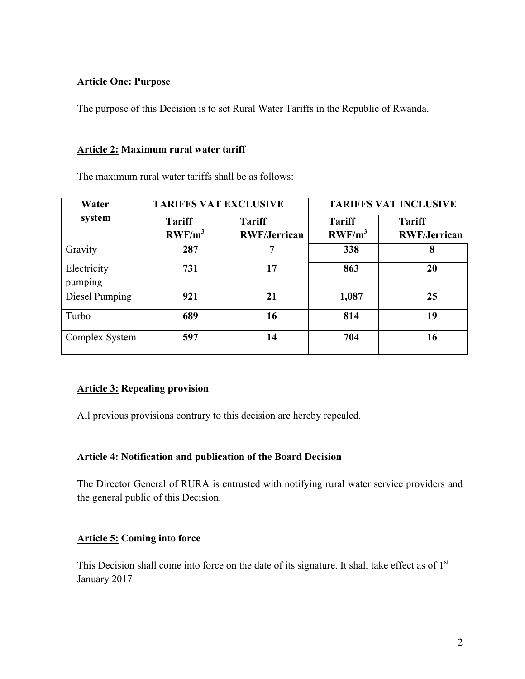## **Article One: Purpose**

The purpose of this Decision is to set Rural Water Tariffs in the Republic of Rwanda.

#### **Article 2: Maximum rural water tariff**

The maximum rural water tariffs shall be as follows:

| Water                  | <b>TARIFFS VAT EXCLUSIVE</b> |                                      | <b>TARIFFS VAT INCLUSIVE</b> |                                      |
|------------------------|------------------------------|--------------------------------------|------------------------------|--------------------------------------|
| system                 | <b>Tariff</b><br>$RWF/m^3$   | <b>Tariff</b><br><b>RWF/Jerrican</b> | <b>Tariff</b><br>$RWF/m^3$   | <b>Tariff</b><br><b>RWF/Jerrican</b> |
| Gravity                | 287                          | 7                                    | 338                          | 8                                    |
| Electricity<br>pumping | 731                          | 17                                   | 863                          | 20                                   |
| Diesel Pumping         | 921                          | 21                                   | 1,087                        | 25                                   |
| Turbo                  | 689                          | 16                                   | 814                          | 19                                   |
| Complex System         | 597                          | 14                                   | 704                          | 16                                   |

## **Article 3: Repealing provision**

All previous provisions contrary to this decision are hereby repealed.

## **Article 4: Notification and publication of the Board Decision**

The Director General of RURA is entrusted with notifying rural water service providers and the general public of this Decision.

## **Article 5: Coming into force**

This Decision shall come into force on the date of its signature. It shall take effect as of 1<sup>st</sup> January 2017